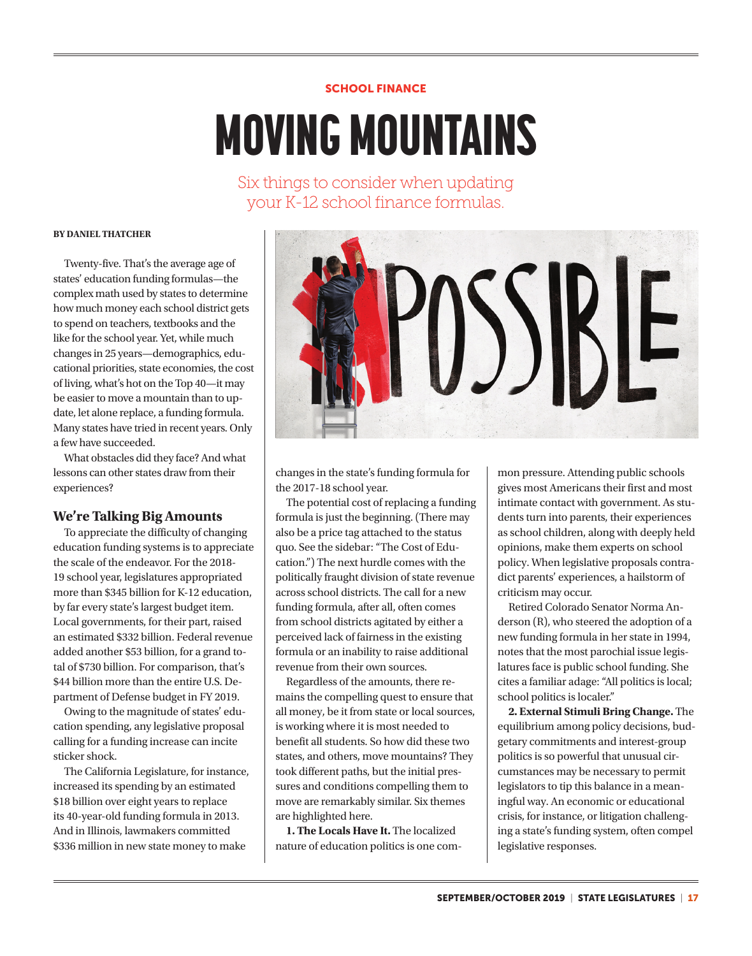## SCHOOL FINANCE

# MOVING MOUNTAINS

Six things to consider when updating your K-12 school finance formulas.

#### **BY DANIEL THATCHER**

Twenty-five. That's the average age of states' education funding formulas—the complex math used by states to determine how much money each school district gets to spend on teachers, textbooks and the like for the school year. Yet, while much changes in 25 years—demographics, educational priorities, state economies, the cost of living, what's hot on the Top 40—it may be easier to move a mountain than to update, let alone replace, a funding formula. Many states have tried in recent years. Only a few have succeeded.

What obstacles did they face? And what lessons can other states draw from their experiences?

#### **We're Talking Big Amounts**

To appreciate the difficulty of changing education funding systems is to appreciate the scale of the endeavor. For the 2018- 19 school year, legislatures appropriated more than \$345 billion for K-12 education, by far every state's largest budget item. Local governments, for their part, raised an estimated \$332 billion. Federal revenue added another \$53 billion, for a grand total of \$730 billion. For comparison, that's \$44 billion more than the entire U.S. Department of Defense budget in FY 2019.

Owing to the magnitude of states' education spending, any legislative proposal calling for a funding increase can incite sticker shock.

The California Legislature, for instance, increased its spending by an estimated \$18 billion over eight years to replace its 40-year-old funding formula in 2013. And in Illinois, lawmakers committed \$336 million in new state money to make



changes in the state's funding formula for the 2017-18 school year.

The potential cost of replacing a funding formula is just the beginning. (There may also be a price tag attached to the status quo. See the sidebar: "The Cost of Education.") The next hurdle comes with the politically fraught division of state revenue across school districts. The call for a new funding formula, after all, often comes from school districts agitated by either a perceived lack of fairness in the existing formula or an inability to raise additional revenue from their own sources.

Regardless of the amounts, there remains the compelling quest to ensure that all money, be it from state or local sources, is working where it is most needed to benefit all students. So how did these two states, and others, move mountains? They took different paths, but the initial pressures and conditions compelling them to move are remarkably similar. Six themes are highlighted here.

**1. The Locals Have It.** The localized nature of education politics is one com-

mon pressure. Attending public schools gives most Americans their first and most intimate contact with government. As students turn into parents, their experiences as school children, along with deeply held opinions, make them experts on school policy. When legislative proposals contradict parents' experiences, a hailstorm of criticism may occur.

Retired Colorado Senator Norma Anderson (R), who steered the adoption of a new funding formula in her state in 1994, notes that the most parochial issue legislatures face is public school funding. She cites a familiar adage: "All politics is local; school politics is localer."

**2. External Stimuli Bring Change.** The equilibrium among policy decisions, budgetary commitments and interest-group politics is so powerful that unusual circumstances may be necessary to permit legislators to tip this balance in a meaningful way. An economic or educational crisis, for instance, or litigation challenging a state's funding system, often compel legislative responses.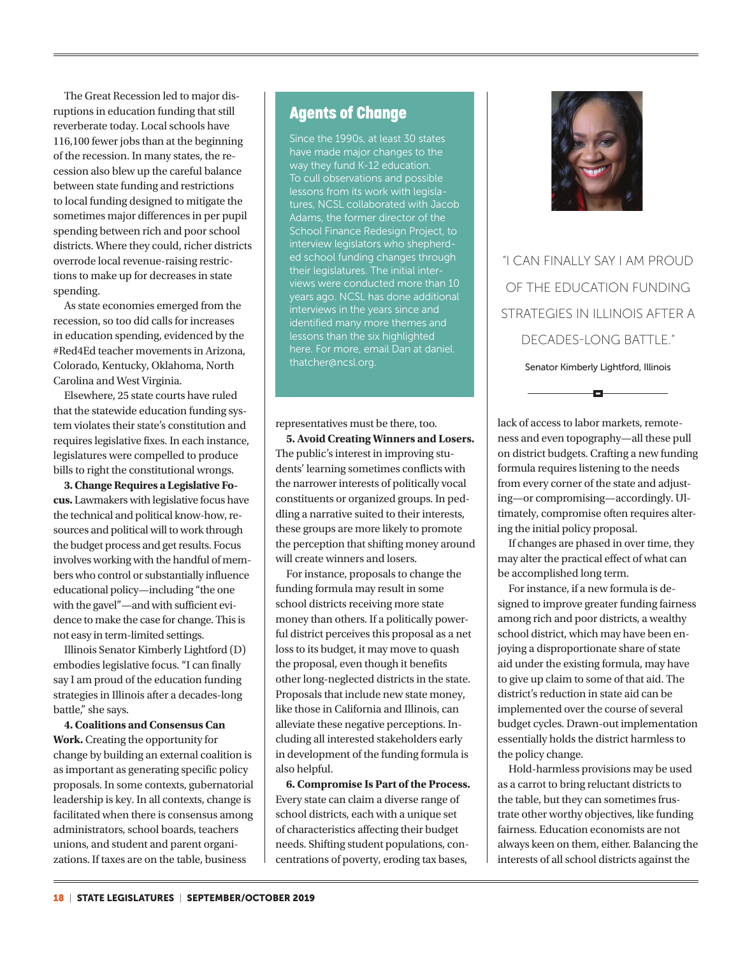The Great Recession led to major disruptions in education funding that still reverberate today. Local schools have 116,100 fewer jobs than at the beginning of the recession. In many states, the recession also blew up the careful balance between state funding and restrictions to local funding designed to mitigate the sometimes major differences in per pupil spending between rich and poor school districts. Where they could, richer districts overrode local revenue-raising restrictions to make up for decreases in state spending.

As state economies emerged from the recession, so too did calls for increases in education spending, evidenced by the #Red4Ed teacher movements in Arizona, Colorado, Kentucky, Oklahoma, North Carolina and West Virginia.

Elsewhere, 25 state courts have ruled that the statewide education funding system violates their state's constitution and requires legislative fixes. In each instance, legislatures were compelled to produce bills to right the constitutional wrongs.

**3. Change Requires a Legislative Focus.** Lawmakers with legislative focus have the technical and political know-how, resources and political will to work through the budget process and get results. Focus involves working with the handful of members who control or substantially influence educational policy—including "the one with the gavel"—and with sufficient evidence to make the case for change. This is not easy in term-limited settings.

Illinois Senator Kimberly Lightford (D) embodies legislative focus. "I can finally say I am proud of the education funding strategies in Illinois after a decades-long battle," she says.

**4. Coalitions and Consensus Can Work.** Creating the opportunity for change by building an external coalition is as important as generating specific policy proposals. In some contexts, gubernatorial leadership is key. In all contexts, change is facilitated when there is consensus among administrators, school boards, teachers unions, and student and parent organizations. If taxes are on the table, business

## Agents of Change

Since the 1990s, at least 30 states have made major changes to the way they fund K-12 education. To cull observations and possible lessons from its work with legislatures, NCSL collaborated with Jacob School Finance Redesign Project, to interview legislators who shepherded school funding changes through their legislatures. The initial interviews were conducted more than 10 years ago. NCSL has done additional interviews in the years since and identified many more themes and lessons than the six highlighted here. For more, email Dan at daniel. thatcher@ncsl.org.

representatives must be there, too.

**5. Avoid Creating Winners and Losers.**  The public's interest in improving students' learning sometimes conflicts with the narrower interests of politically vocal constituents or organized groups. In peddling a narrative suited to their interests, these groups are more likely to promote the perception that shifting money around will create winners and losers.

For instance, proposals to change the funding formula may result in some school districts receiving more state money than others. If a politically powerful district perceives this proposal as a net loss to its budget, it may move to quash the proposal, even though it benefits other long-neglected districts in the state. Proposals that include new state money, like those in California and Illinois, can alleviate these negative perceptions. Including all interested stakeholders early in development of the funding formula is also helpful.

**6. Compromise Is Part of the Process.**  Every state can claim a diverse range of school districts, each with a unique set of characteristics affecting their budget needs. Shifting student populations, concentrations of poverty, eroding tax bases,



"I CAN FINALLY SAY I AM PROUD OF THE EDUCATION FUNDING STRATEGIES IN ILLINOIS AFTER A DECADES-LONG BATTLE." Senator Kimberly Lightford, Illinois

lack of access to labor markets, remoteness and even topography—all these pull on district budgets. Crafting a new funding formula requires listening to the needs from every corner of the state and adjusting—or compromising—accordingly. Ultimately, compromise often requires altering the initial policy proposal.

o

If changes are phased in over time, they may alter the practical effect of what can be accomplished long term.

For instance, if a new formula is designed to improve greater funding fairness among rich and poor districts, a wealthy school district, which may have been enjoying a disproportionate share of state aid under the existing formula, may have to give up claim to some of that aid. The district's reduction in state aid can be implemented over the course of several budget cycles. Drawn-out implementation essentially holds the district harmless to the policy change.

Hold-harmless provisions may be used as a carrot to bring reluctant districts to the table, but they can sometimes frustrate other worthy objectives, like funding fairness. Education economists are not always keen on them, either. Balancing the interests of all school districts against the